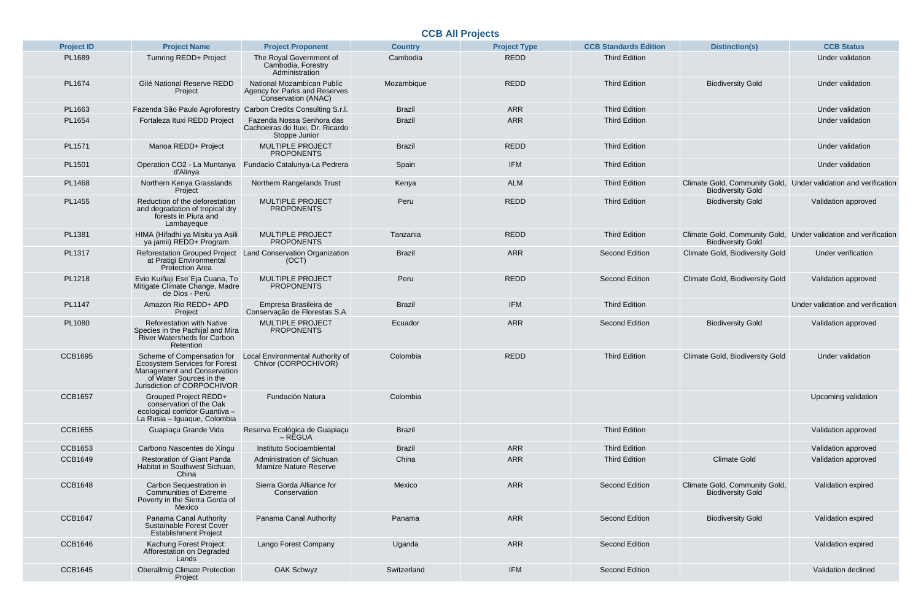## **CCB All Projects**

| <b>Project ID</b> | <b>Project Name</b>                                                                                                                                         | <b>Project Proponent</b>                                                              | <b>Country</b> | <b>Project Type</b> | <b>CCB Standards Edition</b> | <b>Distinction(s)</b>                                                                | <b>CCB Status</b>          |
|-------------------|-------------------------------------------------------------------------------------------------------------------------------------------------------------|---------------------------------------------------------------------------------------|----------------|---------------------|------------------------------|--------------------------------------------------------------------------------------|----------------------------|
| PL1689            | Tumring REDD+ Project                                                                                                                                       | The Royal Government of<br>Cambodia, Forestry<br>Administration                       | Cambodia       | <b>REDD</b>         | <b>Third Edition</b>         |                                                                                      | Under validation           |
| PL1674            | Gilé National Reserve REDD<br>Project                                                                                                                       | National Mozambican Public<br>Agency for Parks and Reserves<br>Conservation (ANAC)    | Mozambique     | <b>REDD</b>         | <b>Third Edition</b>         | <b>Biodiversity Gold</b>                                                             | Under validation           |
| PL1663            | Fazenda São Paulo Agroforestry                                                                                                                              | Carbon Credits Consulting S.r.l.                                                      | <b>Brazil</b>  | <b>ARR</b>          | <b>Third Edition</b>         |                                                                                      | Under validation           |
| PL1654            | Fortaleza Ituxi REDD Project                                                                                                                                | Fazenda Nossa Senhora das<br>Cachoeiras do Ituxi, Dr. Ricardo<br><b>Stoppe Junior</b> | <b>Brazil</b>  | <b>ARR</b>          | <b>Third Edition</b>         |                                                                                      | Under validation           |
| PL1571            | Manoa REDD+ Project                                                                                                                                         | <b>MULTIPLE PROJECT</b><br><b>PROPONENTS</b>                                          | <b>Brazil</b>  | <b>REDD</b>         | <b>Third Edition</b>         |                                                                                      | Under validation           |
| PL1501            | Operation CO2 - La Muntanya<br>d'Alinya                                                                                                                     | Fundacio Catalunya-La Pedrera                                                         | Spain          | <b>IFM</b>          | <b>Third Edition</b>         |                                                                                      | Under validation           |
| <b>PL1468</b>     | Northern Kenya Grasslands<br>Project                                                                                                                        | <b>Northern Rangelands Trust</b>                                                      | Kenya          | <b>ALM</b>          | <b>Third Edition</b>         | Climate Gold, Community Gold,<br><b>Biodiversity Gold</b>                            | Under validation and verif |
| PL1455            | Reduction of the deforestation<br>and degradation of tropical dry<br>forests in Piura and<br>Lambayeque                                                     | <b>MULTIPLE PROJECT</b><br><b>PROPONENTS</b>                                          | Peru           | <b>REDD</b>         | <b>Third Edition</b>         | <b>Biodiversity Gold</b>                                                             | Validation approved        |
| PL1381            | HIMA (Hifadhi ya Misitu ya Asili<br>ya jamii) REDD+ Program                                                                                                 | <b>MULTIPLE PROJECT</b><br><b>PROPONENTS</b>                                          | Tanzania       | <b>REDD</b>         | <b>Third Edition</b>         | Climate Gold, Community Gold, Under validation and verif<br><b>Biodiversity Gold</b> |                            |
| PL1317            | at Pratigi Environmental<br><b>Protection Area</b>                                                                                                          | Reforestation Grouped Project Land Conservation Organization<br>(OCT)                 | <b>Brazil</b>  | <b>ARR</b>          | <b>Second Edition</b>        | <b>Climate Gold, Biodiversity Gold</b>                                               | <b>Under verification</b>  |
| PL1218            | Evio Kuiñaji Ese Eja Cuana, To<br>Mitigate Climate Change, Madre<br>de Dios - Perú                                                                          | <b>MULTIPLE PROJECT</b><br><b>PROPONENTS</b>                                          | Peru           | <b>REDD</b>         | <b>Second Edition</b>        | <b>Climate Gold, Biodiversity Gold</b>                                               | Validation approved        |
| <b>PL1147</b>     | Amazon Rio REDD+ APD<br>Project                                                                                                                             | Empresa Brasileira de<br>Conservação de Florestas S.A                                 | <b>Brazil</b>  | <b>IFM</b>          | <b>Third Edition</b>         |                                                                                      | Under validation and verif |
| <b>PL1080</b>     | <b>Reforestation with Native</b><br>Species in the Pachijal and Mira<br>River Watersheds for Carbon<br>Retention                                            | <b>MULTIPLE PROJECT</b><br><b>PROPONENTS</b>                                          | Ecuador        | <b>ARR</b>          | <b>Second Edition</b>        | <b>Biodiversity Gold</b>                                                             | Validation approved        |
| <b>CCB1695</b>    | Scheme of Compensation for<br><b>Ecosystem Services for Forest</b><br>Management and Conservation<br>of Water Sources in the<br>Jurisdiction of CORPOCHIVOR | Local Environmental Authority of<br>Chivor (CORPOCHIVOR)                              | Colombia       | <b>REDD</b>         | <b>Third Edition</b>         | <b>Climate Gold, Biodiversity Gold</b>                                               | Under validation           |
| <b>CCB1657</b>    | <b>Grouped Project REDD+</b><br>conservation of the Oak<br>ecological corridor Guantiva -<br>La Rusia - Iguaque, Colombia                                   | Fundación Natura                                                                      | Colombia       |                     |                              |                                                                                      | Upcoming validation        |
| <b>CCB1655</b>    | Guapiaçu Grande Vida                                                                                                                                        | Reserva Ecológica de Guapiaçu<br>– RĚGUA                                              | <b>Brazil</b>  |                     | <b>Third Edition</b>         |                                                                                      | Validation approved        |
| <b>CCB1653</b>    | Carbono Nascentes do Xingu                                                                                                                                  | Instituto Socioambiental                                                              | <b>Brazil</b>  | <b>ARR</b>          | <b>Third Edition</b>         |                                                                                      | Validation approved        |
| <b>CCB1649</b>    | <b>Restoration of Giant Panda</b><br>Habitat in Southwest Sichuan,<br>China                                                                                 | Administration of Sichuan<br><b>Mamize Nature Reserve</b>                             | China          | <b>ARR</b>          | <b>Third Edition</b>         | <b>Climate Gold</b>                                                                  | Validation approved        |
| <b>CCB1648</b>    | Carbon Sequestration in<br><b>Communities of Extreme</b><br>Poverty in the Sierra Gorda of<br>Mexico                                                        | Sierra Gorda Alliance for<br>Conservation                                             | Mexico         | <b>ARR</b>          | <b>Second Edition</b>        | Climate Gold, Community Gold,<br><b>Biodiversity Gold</b>                            | Validation expired         |
| <b>CCB1647</b>    | Panama Canal Authority<br>Sustainable Forest Cover<br><b>Establishment Project</b>                                                                          | Panama Canal Authority                                                                | Panama         | <b>ARR</b>          | <b>Second Edition</b>        | <b>Biodiversity Gold</b>                                                             | Validation expired         |
| <b>CCB1646</b>    | Kachung Forest Project:<br>Afforestation on Degraded<br>Lands                                                                                               | Lango Forest Company                                                                  | Uganda         | <b>ARR</b>          | <b>Second Edition</b>        |                                                                                      | Validation expired         |
| <b>CCB1645</b>    | <b>Oberallmig Climate Protection</b><br>Project                                                                                                             | <b>OAK Schwyz</b>                                                                     | Switzerland    | <b>IFM</b>          | <b>Second Edition</b>        |                                                                                      | <b>Validation declined</b> |

| <b>Project Proponent</b>                                                       | <b>Country</b> | <b>Project Type</b> | <b>CCB Standards Edition</b> | <b>Distinction(s)</b>                                     | <b>CCB Status</b>                 |
|--------------------------------------------------------------------------------|----------------|---------------------|------------------------------|-----------------------------------------------------------|-----------------------------------|
| The Royal Government of<br>Cambodia, Forestry<br>Administration                | Cambodia       | <b>REDD</b>         | <b>Third Edition</b>         |                                                           | <b>Under validation</b>           |
| ational Mozambican Public<br>ncy for Parks and Reserves<br>Conservation (ANAC) | Mozambique     | <b>REDD</b>         | <b>Third Edition</b>         | <b>Biodiversity Gold</b>                                  | <b>Under validation</b>           |
| bon Credits Consulting S.r.l.                                                  | <b>Brazil</b>  | <b>ARR</b>          | <b>Third Edition</b>         |                                                           | <b>Under validation</b>           |
| zenda Nossa Senhora das<br>hoeiras do Ituxi, Dr. Ricardo<br>Stoppe Junior      | <b>Brazil</b>  | <b>ARR</b>          | <b>Third Edition</b>         |                                                           | <b>Under validation</b>           |
| <b>MULTIPLE PROJECT</b><br><b>PROPONENTS</b>                                   | <b>Brazil</b>  | <b>REDD</b>         | <b>Third Edition</b>         |                                                           | <b>Under validation</b>           |
| dacio Catalunya-La Pedrera                                                     | Spain          | <b>IFM</b>          | <b>Third Edition</b>         |                                                           | <b>Under validation</b>           |
| <b>Iorthern Rangelands Trust</b>                                               | Kenya          | <b>ALM</b>          | <b>Third Edition</b>         | Climate Gold, Community Gold,<br><b>Biodiversity Gold</b> | Under validation and verification |
| <b>MULTIPLE PROJECT</b><br><b>PROPONENTS</b>                                   | Peru           | <b>REDD</b>         | <b>Third Edition</b>         | <b>Biodiversity Gold</b>                                  | Validation approved               |
| <b>MULTIPLE PROJECT</b><br><b>PROPONENTS</b>                                   | Tanzania       | <b>REDD</b>         | <b>Third Edition</b>         | Climate Gold, Community Gold,<br><b>Biodiversity Gold</b> | Under validation and verification |
| d Conservation Organization<br>(OCT)                                           | <b>Brazil</b>  | <b>ARR</b>          | <b>Second Edition</b>        | <b>Climate Gold, Biodiversity Gold</b>                    | <b>Under verification</b>         |
| <b>MULTIPLE PROJECT</b><br><b>PROPONENTS</b>                                   | Peru           | <b>REDD</b>         | <b>Second Edition</b>        | <b>Climate Gold, Biodiversity Gold</b>                    | Validation approved               |
| Empresa Brasileira de<br>nservação de Florestas S.A                            | <b>Brazil</b>  | <b>IFM</b>          | <b>Third Edition</b>         |                                                           | Under validation and verification |
| <b>MULTIPLE PROJECT</b><br><b>PROPONENTS</b>                                   | Ecuador        | <b>ARR</b>          | <b>Second Edition</b>        | <b>Biodiversity Gold</b>                                  | Validation approved               |
| al Environmental Authority of<br>Chivor (CORPOCHIVOR)                          | Colombia       | <b>REDD</b>         | <b>Third Edition</b>         | <b>Climate Gold, Biodiversity Gold</b>                    | <b>Under validation</b>           |
| Fundación Natura                                                               | Colombia       |                     |                              |                                                           | Upcoming validation               |
| erva Ecológica de Guapiaçu<br>– RĚGUA                                          | <b>Brazil</b>  |                     | <b>Third Edition</b>         |                                                           | Validation approved               |
| Instituto Socioambiental                                                       | <b>Brazil</b>  | <b>ARR</b>          | <b>Third Edition</b>         |                                                           | Validation approved               |
| Administration of Sichuan<br><b>Mamize Nature Reserve</b>                      | China          | <b>ARR</b>          | <b>Third Edition</b>         | <b>Climate Gold</b>                                       | Validation approved               |
| Sierra Gorda Alliance for<br>Conservation                                      | Mexico         | <b>ARR</b>          | <b>Second Edition</b>        | Climate Gold, Community Gold,<br><b>Biodiversity Gold</b> | Validation expired                |
| Panama Canal Authority                                                         | Panama         | <b>ARR</b>          | <b>Second Edition</b>        | <b>Biodiversity Gold</b>                                  | Validation expired                |
| Lango Forest Company                                                           | Uganda         | <b>ARR</b>          | <b>Second Edition</b>        |                                                           | Validation expired                |
| <b>OAK Schwyz</b>                                                              | Switzerland    | <b>IFM</b>          | <b>Second Edition</b>        |                                                           | <b>Validation declined</b>        |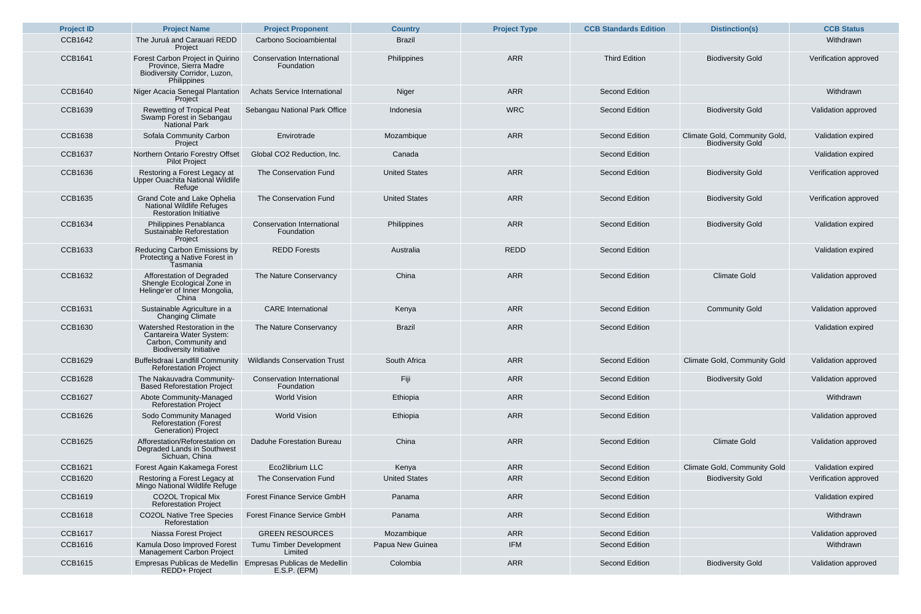| <b>Project ID</b> | <b>Project Name</b>                                                                                                 | <b>Project Proponent</b>                        | <b>Country</b>       | <b>Project Type</b> | <b>CCB Standards Edition</b> | <b>Distinction(s)</b>                                     | <b>CCB Status</b>     |
|-------------------|---------------------------------------------------------------------------------------------------------------------|-------------------------------------------------|----------------------|---------------------|------------------------------|-----------------------------------------------------------|-----------------------|
| <b>CCB1642</b>    | The Juruá and Carauari REDD<br>Project                                                                              | <b>Carbono Socioambiental</b>                   | <b>Brazil</b>        |                     |                              |                                                           | Withdrawn             |
| <b>CCB1641</b>    | Forest Carbon Project in Quirino<br>Province, Sierra Madre<br>Biodiversity Corridor, Luzon,<br><b>Philippines</b>   | <b>Conservation International</b><br>Foundation | Philippines          | <b>ARR</b>          | <b>Third Edition</b>         | <b>Biodiversity Gold</b>                                  | Verification approve  |
| <b>CCB1640</b>    | Niger Acacia Senegal Plantation<br>Project                                                                          | <b>Achats Service International</b>             | <b>Niger</b>         | <b>ARR</b>          | <b>Second Edition</b>        |                                                           | Withdrawn             |
| <b>CCB1639</b>    | <b>Rewetting of Tropical Peat</b><br>Swamp Forest in Sebangau<br><b>National Park</b>                               | Sebangau National Park Office                   | Indonesia            | <b>WRC</b>          | <b>Second Edition</b>        | <b>Biodiversity Gold</b>                                  | Validation approved   |
| <b>CCB1638</b>    | <b>Sofala Community Carbon</b><br>Project                                                                           | Envirotrade                                     | Mozambique           | <b>ARR</b>          | <b>Second Edition</b>        | Climate Gold, Community Gold,<br><b>Biodiversity Gold</b> | Validation expired    |
| <b>CCB1637</b>    | Northern Ontario Forestry Offset<br><b>Pilot Project</b>                                                            | Global CO2 Reduction, Inc.                      | Canada               |                     | <b>Second Edition</b>        |                                                           | Validation expired    |
| <b>CCB1636</b>    | Restoring a Forest Legacy at<br>Upper Ouachita National Wildlife<br>Refuge                                          | The Conservation Fund                           | <b>United States</b> | <b>ARR</b>          | <b>Second Edition</b>        | <b>Biodiversity Gold</b>                                  | Verification approve  |
| <b>CCB1635</b>    | <b>Grand Cote and Lake Ophelia</b><br><b>National Wildlife Refuges</b><br><b>Restoration Initiative</b>             | The Conservation Fund                           | <b>United States</b> | <b>ARR</b>          | <b>Second Edition</b>        | <b>Biodiversity Gold</b>                                  | Verification approved |
| <b>CCB1634</b>    | Philippines Penablanca<br>Sustainable Reforestation<br>Project                                                      | <b>Conservation International</b><br>Foundation | Philippines          | <b>ARR</b>          | <b>Second Edition</b>        | <b>Biodiversity Gold</b>                                  | Validation expired    |
| <b>CCB1633</b>    | <b>Reducing Carbon Emissions by</b><br>Protecting a Native Forest in<br>Tasmania                                    | <b>REDD Forests</b>                             | Australia            | <b>REDD</b>         | <b>Second Edition</b>        |                                                           | Validation expired    |
| <b>CCB1632</b>    | Afforestation of Degraded<br>Shengle Ecological Zone in<br>Helinge'er of Inner Mongolia,<br>China                   | The Nature Conservancy                          | China                | <b>ARR</b>          | <b>Second Edition</b>        | <b>Climate Gold</b>                                       | Validation approved   |
| <b>CCB1631</b>    | Sustainable Agriculture in a<br><b>Changing Climate</b>                                                             | <b>CARE</b> International                       | Kenya                | <b>ARR</b>          | <b>Second Edition</b>        | <b>Community Gold</b>                                     | Validation approved   |
| <b>CCB1630</b>    | Watershed Restoration in the<br>Cantareira Water System:<br>Carbon, Community and<br><b>Biodiversity Initiative</b> | The Nature Conservancy                          | <b>Brazil</b>        | <b>ARR</b>          | <b>Second Edition</b>        |                                                           | Validation expired    |
| <b>CCB1629</b>    | <b>Buffelsdraai Landfill Community</b><br><b>Reforestation Project</b>                                              | <b>Wildlands Conservation Trust</b>             | South Africa         | <b>ARR</b>          | <b>Second Edition</b>        | <b>Climate Gold, Community Gold</b>                       | Validation approved   |
| <b>CCB1628</b>    | The Nakauvadra Community-<br><b>Based Reforestation Project</b>                                                     | <b>Conservation International</b><br>Foundation | Fiji                 | <b>ARR</b>          | <b>Second Edition</b>        | <b>Biodiversity Gold</b>                                  | Validation approved   |
| <b>CCB1627</b>    | Abote Community-Managed<br><b>Reforestation Project</b>                                                             | <b>World Vision</b>                             | Ethiopia             | <b>ARR</b>          | <b>Second Edition</b>        |                                                           | Withdrawn             |
| <b>CCB1626</b>    | <b>Sodo Community Managed</b><br><b>Reforestation (Forest</b><br>Generation) Project                                | <b>World Vision</b>                             | Ethiopia             | <b>ARR</b>          | <b>Second Edition</b>        |                                                           | Validation approved   |
| <b>CCB1625</b>    | Afforestation/Reforestation on<br>Degraded Lands in Southwest<br>Sichuan, China                                     | <b>Daduhe Forestation Bureau</b>                | China                | <b>ARR</b>          | <b>Second Edition</b>        | <b>Climate Gold</b>                                       | Validation approved   |
| <b>CCB1621</b>    | Forest Again Kakamega Forest                                                                                        | Eco2librium LLC                                 | Kenya                | <b>ARR</b>          | <b>Second Edition</b>        | <b>Climate Gold, Community Gold</b>                       | Validation expired    |
| <b>CCB1620</b>    | Restoring a Forest Legacy at<br>Mingo National Wildlife Refuge                                                      | The Conservation Fund                           | <b>United States</b> | <b>ARR</b>          | <b>Second Edition</b>        | <b>Biodiversity Gold</b>                                  | Verification approve  |
| <b>CCB1619</b>    | <b>CO2OL Tropical Mix</b><br><b>Reforestation Project</b>                                                           | <b>Forest Finance Service GmbH</b>              | Panama               | <b>ARR</b>          | <b>Second Edition</b>        |                                                           | Validation expired    |
| <b>CCB1618</b>    | <b>CO2OL Native Tree Species</b><br>Reforestation                                                                   | <b>Forest Finance Service GmbH</b>              | Panama               | <b>ARR</b>          | <b>Second Edition</b>        |                                                           | Withdrawn             |
| <b>CCB1617</b>    | Niassa Forest Project                                                                                               | <b>GREEN RESOURCES</b>                          | Mozambique           | <b>ARR</b>          | <b>Second Edition</b>        |                                                           | Validation approved   |
| <b>CCB1616</b>    | Kamula Doso Improved Forest<br><b>Management Carbon Project</b>                                                     | <b>Tumu Timber Development</b><br>Limited       | Papua New Guinea     | <b>IFM</b>          | <b>Second Edition</b>        |                                                           | Withdrawn             |
| <b>CCB1615</b>    | Empresas Publicas de Medellin<br><b>REDD+ Project</b>                                                               | Empresas Publicas de Medellin<br>$E.S.P.$ (EPM) | Colombia             | <b>ARR</b>          | <b>Second Edition</b>        | <b>Biodiversity Gold</b>                                  | Validation approved   |

| <b>Project Proponent</b>                               | <b>Country</b>       | <b>Project Type</b> | <b>CCB Standards Edition</b> | <b>Distinction(s)</b>                                     | <b>CCB Status</b>     |
|--------------------------------------------------------|----------------------|---------------------|------------------------------|-----------------------------------------------------------|-----------------------|
| Carbono Socioambiental                                 | <b>Brazil</b>        |                     |                              |                                                           | Withdrawn             |
| <b>Conservation International</b><br>Foundation        | Philippines          | <b>ARR</b>          | <b>Third Edition</b>         | <b>Biodiversity Gold</b>                                  | Verification approved |
| <b>Achats Service International</b>                    | Niger                | <b>ARR</b>          | <b>Second Edition</b>        |                                                           | Withdrawn             |
| Sebangau National Park Office                          | Indonesia            | <b>WRC</b>          | <b>Second Edition</b>        | <b>Biodiversity Gold</b>                                  | Validation approved   |
| Envirotrade                                            | Mozambique           | <b>ARR</b>          | <b>Second Edition</b>        | Climate Gold, Community Gold,<br><b>Biodiversity Gold</b> | Validation expired    |
| Global CO2 Reduction, Inc.                             | Canada               |                     | <b>Second Edition</b>        |                                                           | Validation expired    |
| The Conservation Fund                                  | <b>United States</b> | <b>ARR</b>          | <b>Second Edition</b>        | <b>Biodiversity Gold</b>                                  | Verification approved |
| The Conservation Fund                                  | <b>United States</b> | <b>ARR</b>          | <b>Second Edition</b>        | <b>Biodiversity Gold</b>                                  | Verification approved |
| <b>Conservation International</b><br>Foundation        | Philippines          | <b>ARR</b>          | <b>Second Edition</b>        | <b>Biodiversity Gold</b>                                  | Validation expired    |
| <b>REDD Forests</b>                                    | Australia            | <b>REDD</b>         | <b>Second Edition</b>        |                                                           | Validation expired    |
| The Nature Conservancy                                 | China                | <b>ARR</b>          | <b>Second Edition</b>        | <b>Climate Gold</b>                                       | Validation approved   |
| <b>CARE</b> International                              | Kenya                | <b>ARR</b>          | <b>Second Edition</b>        | <b>Community Gold</b>                                     | Validation approved   |
| The Nature Conservancy                                 | <b>Brazil</b>        | <b>ARR</b>          | <b>Second Edition</b>        |                                                           | Validation expired    |
| <b>Wildlands Conservation Trust</b>                    | South Africa         | <b>ARR</b>          | <b>Second Edition</b>        | <b>Climate Gold, Community Gold</b>                       | Validation approved   |
| <b>Conservation International</b><br>Foundation        | Fiji                 | <b>ARR</b>          | <b>Second Edition</b>        | <b>Biodiversity Gold</b>                                  | Validation approved   |
| <b>World Vision</b>                                    | Ethiopia             | <b>ARR</b>          | <b>Second Edition</b>        |                                                           | Withdrawn             |
| <b>World Vision</b>                                    | Ethiopia             | <b>ARR</b>          | <b>Second Edition</b>        |                                                           | Validation approved   |
| <b>Daduhe Forestation Bureau</b>                       | China                | <b>ARR</b>          | <b>Second Edition</b>        | <b>Climate Gold</b>                                       | Validation approved   |
| Eco2librium LLC                                        | Kenya                | <b>ARR</b>          | <b>Second Edition</b>        | <b>Climate Gold, Community Gold</b>                       | Validation expired    |
| The Conservation Fund                                  | <b>United States</b> | <b>ARR</b>          | <b>Second Edition</b>        | <b>Biodiversity Gold</b>                                  | Verification approved |
| Forest Finance Service GmbH                            | Panama               | <b>ARR</b>          | <b>Second Edition</b>        |                                                           | Validation expired    |
| Forest Finance Service GmbH                            | Panama               | <b>ARR</b>          | <b>Second Edition</b>        |                                                           | Withdrawn             |
| <b>GREEN RESOURCES</b>                                 | Mozambique           | <b>ARR</b>          | <b>Second Edition</b>        |                                                           | Validation approved   |
| Tumu Timber Development<br>Limited                     | Papua New Guinea     | <b>IFM</b>          | <b>Second Edition</b>        |                                                           | Withdrawn             |
| <b>Empresas Publicas de Medellin</b><br>$E.S.P.$ (EPM) | Colombia             | <b>ARR</b>          | <b>Second Edition</b>        | <b>Biodiversity Gold</b>                                  | Validation approved   |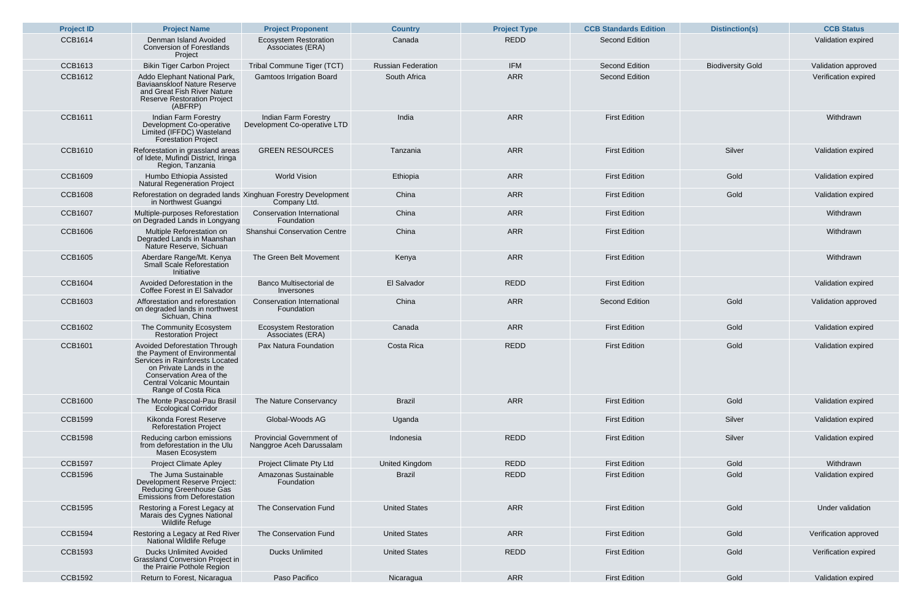| <b>Project ID</b> | <b>Project Name</b>                                                                                                                                                                                                       | <b>Project Proponent</b>                                    | <b>Country</b>            | <b>Project Type</b> | <b>CCB Standards Edition</b> | <b>Distinction(s)</b>    | <b>CCB Status</b>    |
|-------------------|---------------------------------------------------------------------------------------------------------------------------------------------------------------------------------------------------------------------------|-------------------------------------------------------------|---------------------------|---------------------|------------------------------|--------------------------|----------------------|
| <b>CCB1614</b>    | Denman Island Avoided<br><b>Conversion of Forestlands</b><br>Project                                                                                                                                                      | <b>Ecosystem Restoration</b><br>Associates (ERA)            | Canada                    | <b>REDD</b>         | <b>Second Edition</b>        |                          | Validation expired   |
| <b>CCB1613</b>    | <b>Bikin Tiger Carbon Project</b>                                                                                                                                                                                         | Tribal Commune Tiger (TCT)                                  | <b>Russian Federation</b> | <b>IFM</b>          | <b>Second Edition</b>        | <b>Biodiversity Gold</b> | Validation approved  |
| <b>CCB1612</b>    | Addo Elephant National Park,<br>Baviaanskloof Nature Reserve<br>and Great Fish River Nature<br><b>Reserve Restoration Project</b><br>(ABFRP)                                                                              | <b>Gamtoos Irrigation Board</b>                             | South Africa              | <b>ARR</b>          | <b>Second Edition</b>        |                          | Verification expired |
| <b>CCB1611</b>    | Indian Farm Forestry<br>Development Co-operative<br>Limited (IFFDC) Wasteland<br><b>Forestation Project</b>                                                                                                               | Indian Farm Forestry<br>Development Co-operative LTD        | India                     | <b>ARR</b>          | <b>First Edition</b>         |                          | Withdrawn            |
| <b>CCB1610</b>    | Reforestation in grassland areas<br>of Idete, Mufindi District, Iringa<br>Region, Tanzania                                                                                                                                | <b>GREEN RESOURCES</b>                                      | Tanzania                  | <b>ARR</b>          | <b>First Edition</b>         | Silver                   | Validation expired   |
| <b>CCB1609</b>    | Humbo Ethiopia Assisted<br><b>Natural Regeneration Project</b>                                                                                                                                                            | <b>World Vision</b>                                         | Ethiopia                  | <b>ARR</b>          | <b>First Edition</b>         | Gold                     | Validation expired   |
| <b>CCB1608</b>    | Reforestation on degraded lands Xinghuan Forestry Development<br>in Northwest Guangxi                                                                                                                                     | Company Ltd.                                                | China                     | <b>ARR</b>          | <b>First Edition</b>         | Gold                     | Validation expired   |
| <b>CCB1607</b>    | Multiple-purposes Reforestation<br>on Degraded Lands in Longyang                                                                                                                                                          | <b>Conservation International</b><br>Foundation             | China                     | <b>ARR</b>          | <b>First Edition</b>         |                          | Withdrawn            |
| <b>CCB1606</b>    | Multiple Reforestation on<br>Degraded Lands in Maanshan<br>Nature Reserve, Sichuan                                                                                                                                        | <b>Shanshui Conservation Centre</b>                         | China                     | <b>ARR</b>          | <b>First Edition</b>         |                          | Withdrawn            |
| <b>CCB1605</b>    | Aberdare Range/Mt. Kenya<br><b>Small Scale Reforestation</b><br>Initiative                                                                                                                                                | The Green Belt Movement                                     | Kenya                     | <b>ARR</b>          | <b>First Edition</b>         |                          | Withdrawn            |
| <b>CCB1604</b>    | Avoided Deforestation in the<br>Coffee Forest in El Salvador                                                                                                                                                              | <b>Banco Multisectorial de</b><br>Inversones                | <b>El Salvador</b>        | <b>REDD</b>         | <b>First Edition</b>         |                          | Validation expired   |
| <b>CCB1603</b>    | Afforestation and reforestation<br>on degraded lands in northwest<br>Sichuan, China                                                                                                                                       | <b>Conservation International</b><br>Foundation             | China                     | <b>ARR</b>          | <b>Second Edition</b>        | Gold                     | Validation approved  |
| <b>CCB1602</b>    | The Community Ecosystem<br><b>Restoration Project</b>                                                                                                                                                                     | <b>Ecosystem Restoration</b><br>Associates (ERA)            | Canada                    | <b>ARR</b>          | <b>First Edition</b>         | Gold                     | Validation expired   |
| <b>CCB1601</b>    | <b>Avoided Deforestation Through</b><br>the Payment of Environmental<br>Services in Rainforests Located<br>on Private Lands in the<br>Conservation Area of the<br><b>Central Volcanic Mountain</b><br>Range of Costa Rica | Pax Natura Foundation                                       | <b>Costa Rica</b>         | <b>REDD</b>         | <b>First Edition</b>         | Gold                     | Validation expired   |
| <b>CCB1600</b>    | The Monte Pascoal-Pau Brasil<br><b>Ecological Corridor</b>                                                                                                                                                                | The Nature Conservancy                                      | <b>Brazil</b>             | <b>ARR</b>          | <b>First Edition</b>         | Gold                     | Validation expired   |
| <b>CCB1599</b>    | <b>Kikonda Forest Reserve</b><br><b>Reforestation Project</b>                                                                                                                                                             | Global-Woods AG                                             | Uganda                    |                     | <b>First Edition</b>         | Silver                   | Validation expired   |
| <b>CCB1598</b>    | Reducing carbon emissions<br>from deforestation in the Ulu<br>Masen Ecosystem                                                                                                                                             | <b>Provincial Government of</b><br>Nanggroe Aceh Darussalam | Indonesia                 | <b>REDD</b>         | <b>First Edition</b>         | Silver                   | Validation expired   |
| <b>CCB1597</b>    | <b>Project Climate Apley</b>                                                                                                                                                                                              | <b>Project Climate Pty Ltd</b>                              | United Kingdom            | <b>REDD</b>         | <b>First Edition</b>         | Gold                     | Withdrawn            |
| <b>CCB1596</b>    | The Juma Sustainable<br>Development Reserve Project:<br>Reducing Greenhouse Gas<br>Emissions from Deforestation                                                                                                           | Amazonas Sustainable<br>Foundation                          | <b>Brazil</b>             | <b>REDD</b>         | <b>First Edition</b>         | Gold                     | Validation expired   |
| <b>CCB1595</b>    | Restoring a Forest Legacy at<br>Marais des Cygnes National<br>Wildlife Refuge                                                                                                                                             | The Conservation Fund                                       | <b>United States</b>      | <b>ARR</b>          | <b>First Edition</b>         | Gold                     | Under validation     |
| <b>CCB1594</b>    | Restoring a Legacy at Red River<br>National Wildlife Refuge                                                                                                                                                               | The Conservation Fund                                       | <b>United States</b>      | <b>ARR</b>          | <b>First Edition</b>         | Gold                     | Verification approve |
| <b>CCB1593</b>    | <b>Ducks Unlimited Avoided</b><br><b>Grassland Conversion Project in</b><br>the Prairie Pothole Region                                                                                                                    | <b>Ducks Unlimited</b>                                      | <b>United States</b>      | <b>REDD</b>         | <b>First Edition</b>         | Gold                     | Verification expired |
| <b>CCB1592</b>    | Return to Forest, Nicaragua                                                                                                                                                                                               | Paso Pacifico                                               | Nicaragua                 | <b>ARR</b>          | <b>First Edition</b>         | Gold                     | Validation expired   |

| <b>Project Proponent</b>                                   | <b>Country</b>            | <b>Project Type</b> | <b>CCB Standards Edition</b> | <b>Distinction(s)</b>    | <b>CCB Status</b>     |
|------------------------------------------------------------|---------------------------|---------------------|------------------------------|--------------------------|-----------------------|
| <b>Ecosystem Restoration</b><br>Associates (ERA)           | Canada                    | <b>REDD</b>         | <b>Second Edition</b>        |                          | Validation expired    |
| ibal Commune Tiger (TCT)                                   | <b>Russian Federation</b> | <b>IFM</b>          | <b>Second Edition</b>        | <b>Biodiversity Gold</b> | Validation approved   |
| <b>Gamtoos Irrigation Board</b>                            | South Africa              | <b>ARR</b>          | <b>Second Edition</b>        |                          | Verification expired  |
| Indian Farm Forestry<br>velopment Co-operative LTD         | India                     | <b>ARR</b>          | <b>First Edition</b>         |                          | Withdrawn             |
| <b>GREEN RESOURCES</b>                                     | Tanzania                  | <b>ARR</b>          | <b>First Edition</b>         | Silver                   | Validation expired    |
| <b>World Vision</b>                                        | Ethiopia                  | <b>ARR</b>          | <b>First Edition</b>         | Gold                     | Validation expired    |
| ghuan Forestry Development<br>Company Ltd.                 | China                     | <b>ARR</b>          | <b>First Edition</b>         | Gold                     | Validation expired    |
| Conservation International<br>Foundation                   | China                     | <b>ARR</b>          | <b>First Edition</b>         |                          | Withdrawn             |
| anshui Conservation Centre                                 | China                     | <b>ARR</b>          | <b>First Edition</b>         |                          | Withdrawn             |
| The Green Belt Movement                                    | Kenya                     | <b>ARR</b>          | <b>First Edition</b>         |                          | Withdrawn             |
| <b>Banco Multisectorial de</b><br>Inversones               | <b>El Salvador</b>        | <b>REDD</b>         | <b>First Edition</b>         |                          | Validation expired    |
| Conservation International<br>Foundation                   | China                     | <b>ARR</b>          | <b>Second Edition</b>        | Gold                     | Validation approved   |
| <b>Ecosystem Restoration</b><br>Associates (ERA)           | Canada                    | <b>ARR</b>          | <b>First Edition</b>         | Gold                     | Validation expired    |
| Pax Natura Foundation                                      | Costa Rica                | <b>REDD</b>         | <b>First Edition</b>         | Gold                     | Validation expired    |
| The Nature Conservancy                                     | <b>Brazil</b>             | <b>ARR</b>          | <b>First Edition</b>         | Gold                     | Validation expired    |
| Global-Woods AG                                            | Uganda                    |                     | <b>First Edition</b>         | Silver                   | Validation expired    |
| <b>Provincial Government of</b><br>anggroe Aceh Darussalam | Indonesia                 | <b>REDD</b>         | <b>First Edition</b>         | Silver                   | Validation expired    |
| <b>Project Climate Pty Ltd</b>                             | United Kingdom            | <b>REDD</b>         | <b>First Edition</b>         | Gold                     | Withdrawn             |
| Amazonas Sustainable<br>Foundation                         | <b>Brazil</b>             | <b>REDD</b>         | <b>First Edition</b>         | Gold                     | Validation expired    |
| The Conservation Fund                                      | <b>United States</b>      | <b>ARR</b>          | <b>First Edition</b>         | Gold                     | Under validation      |
| The Conservation Fund                                      | <b>United States</b>      | <b>ARR</b>          | <b>First Edition</b>         | Gold                     | Verification approved |
| <b>Ducks Unlimited</b>                                     | <b>United States</b>      | <b>REDD</b>         | <b>First Edition</b>         | Gold                     | Verification expired  |
| Paso Pacifico                                              | Nicaragua                 | <b>ARR</b>          | <b>First Edition</b>         | Gold                     | Validation expired    |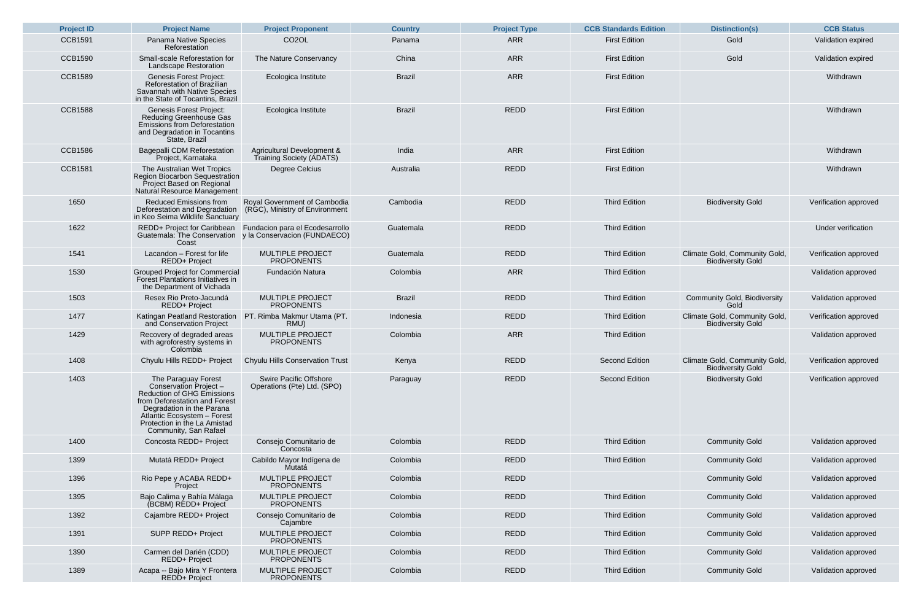| <b>Project ID</b> | <b>Project Name</b>                                                                                                                                                                                                                      | <b>Project Proponent</b>                                        | <b>Country</b> | <b>Project Type</b> | <b>CCB Standards Edition</b> | <b>Distinction(s)</b>                                     | <b>CCB Status</b>  |
|-------------------|------------------------------------------------------------------------------------------------------------------------------------------------------------------------------------------------------------------------------------------|-----------------------------------------------------------------|----------------|---------------------|------------------------------|-----------------------------------------------------------|--------------------|
| <b>CCB1591</b>    | Panama Native Species<br>Reforestation                                                                                                                                                                                                   | CO <sub>2</sub> OL                                              | Panama         | <b>ARR</b>          | <b>First Edition</b>         | Gold                                                      | Validation expir   |
| <b>CCB1590</b>    | <b>Small-scale Reforestation for</b><br><b>Landscape Restoration</b>                                                                                                                                                                     | The Nature Conservancy                                          | China          | <b>ARR</b>          | <b>First Edition</b>         | Gold                                                      | Validation expir   |
| <b>CCB1589</b>    | <b>Genesis Forest Project:</b><br><b>Reforestation of Brazilian</b><br>Savannah with Native Species<br>in the State of Tocantins, Brazil                                                                                                 | Ecologica Institute                                             | <b>Brazil</b>  | <b>ARR</b>          | <b>First Edition</b>         |                                                           | Withdrawn          |
| <b>CCB1588</b>    | <b>Genesis Forest Project:</b><br><b>Reducing Greenhouse Gas</b><br><b>Emissions from Deforestation</b><br>and Degradation in Tocantins<br>State, Brazil                                                                                 | Ecologica Institute                                             | <b>Brazil</b>  | <b>REDD</b>         | <b>First Edition</b>         |                                                           | Withdrawn          |
| <b>CCB1586</b>    | <b>Bagepalli CDM Reforestation</b><br>Project, Karnataka                                                                                                                                                                                 | Agricultural Development &<br>Training Society (ADATS)          | India          | <b>ARR</b>          | <b>First Edition</b>         |                                                           | Withdrawn          |
| <b>CCB1581</b>    | The Australian Wet Tropics<br><b>Region Biocarbon Sequestration</b><br>Project Based on Regional<br>Natural Resource Management                                                                                                          | Degree Celcius                                                  | Australia      | <b>REDD</b>         | <b>First Edition</b>         |                                                           | Withdrawn          |
| 1650              | <b>Reduced Emissions from</b><br>Deforestation and Degradation<br>in Keo Seima Wildlife Sanctuary                                                                                                                                        | Royal Government of Cambodia<br>(RGC), Ministry of Environment  | Cambodia       | <b>REDD</b>         | <b>Third Edition</b>         | <b>Biodiversity Gold</b>                                  | Verification appro |
| 1622              | REDD+ Project for Caribbean<br>Guatemala: The Conservation<br>Coast                                                                                                                                                                      | Fundacion para el Ecodesarrollo<br>y la Conservacion (FUNDAECO) | Guatemala      | <b>REDD</b>         | <b>Third Edition</b>         |                                                           | Under verificat    |
| 1541              | Lacandon - Forest for life<br><b>REDD+ Project</b>                                                                                                                                                                                       | <b>MULTIPLE PROJECT</b><br><b>PROPONENTS</b>                    | Guatemala      | <b>REDD</b>         | <b>Third Edition</b>         | Climate Gold, Community Gold,<br><b>Biodiversity Gold</b> | Verification appro |
| 1530              | <b>Grouped Project for Commercial</b><br><b>Forest Plantations Initiatives in</b><br>the Department of Vichada                                                                                                                           | Fundación Natura                                                | Colombia       | <b>ARR</b>          | <b>Third Edition</b>         |                                                           | Validation appro   |
| 1503              | Resex Rio Preto-Jacundá<br><b>REDD+ Project</b>                                                                                                                                                                                          | <b>MULTIPLE PROJECT</b><br><b>PROPONENTS</b>                    | <b>Brazil</b>  | REDD                | <b>Third Edition</b>         | <b>Community Gold, Biodiversity</b><br>Gold               | Validation appro   |
| 1477              | <b>Katingan Peatland Restoration</b><br>and Conservation Project                                                                                                                                                                         | PT. Rimba Makmur Utama (PT.<br>RMU)                             | Indonesia      | <b>REDD</b>         | <b>Third Edition</b>         | Climate Gold, Community Gold,<br><b>Biodiversity Gold</b> | Verification appro |
| 1429              | Recovery of degraded areas<br>with agroforestry systems in<br>Colombia                                                                                                                                                                   | <b>MULTIPLE PROJECT</b><br><b>PROPONENTS</b>                    | Colombia       | <b>ARR</b>          | <b>Third Edition</b>         |                                                           | Validation appro   |
| 1408              | Chyulu Hills REDD+ Project                                                                                                                                                                                                               | <b>Chyulu Hills Conservation Trust</b>                          | Kenya          | <b>REDD</b>         | <b>Second Edition</b>        | Climate Gold, Community Gold,<br><b>Biodiversity Gold</b> | Verification appro |
| 1403              | The Paraguay Forest<br>Conservation Project -<br><b>Reduction of GHG Emissions</b><br>from Deforestation and Forest<br>Degradation in the Parana<br>Atlantic Ecosystem - Forest<br>Protection in the La Amistad<br>Community, San Rafael | <b>Swire Pacific Offshore</b><br>Operations (Pte) Ltd. (SPO)    | Paraguay       | <b>REDD</b>         | <b>Second Edition</b>        | <b>Biodiversity Gold</b>                                  | Verification appro |
| 1400              | Concosta REDD+ Project                                                                                                                                                                                                                   | Consejo Comunitario de<br>Concosta                              | Colombia       | <b>REDD</b>         | <b>Third Edition</b>         | <b>Community Gold</b>                                     | Validation appro   |
| 1399              | Mutatá REDD+ Project                                                                                                                                                                                                                     | Cabildo Mayor Indígena de<br>Mutatá                             | Colombia       | <b>REDD</b>         | <b>Third Edition</b>         | <b>Community Gold</b>                                     | Validation appro   |
| 1396              | Rio Pepe y ACABA REDD+<br>Project                                                                                                                                                                                                        | <b>MULTIPLE PROJECT</b><br><b>PROPONENTS</b>                    | Colombia       | <b>REDD</b>         |                              | <b>Community Gold</b>                                     | Validation appro   |
| 1395              | Bajo Calima y Bahía Málaga<br>(BCBM) REDD+ Project                                                                                                                                                                                       | <b>MULTIPLE PROJECT</b><br><b>PROPONENTS</b>                    | Colombia       | <b>REDD</b>         | <b>Third Edition</b>         | <b>Community Gold</b>                                     | Validation appro   |
| 1392              | Cajambre REDD+ Project                                                                                                                                                                                                                   | Consejo Comunitario de<br>Cajambre                              | Colombia       | <b>REDD</b>         | <b>Third Edition</b>         | <b>Community Gold</b>                                     | Validation appro   |
| 1391              | <b>SUPP REDD+ Project</b>                                                                                                                                                                                                                | <b>MULTIPLE PROJECT</b><br><b>PROPONENTS</b>                    | Colombia       | <b>REDD</b>         | <b>Third Edition</b>         | <b>Community Gold</b>                                     | Validation appro   |
| 1390              | Carmen del Darién (CDD)<br>REDD+ Project                                                                                                                                                                                                 | <b>MULTIPLE PROJECT</b><br><b>PROPONENTS</b>                    | Colombia       | <b>REDD</b>         | <b>Third Edition</b>         | <b>Community Gold</b>                                     | Validation appro   |
| 1389              | Acapa -- Bajo Mira Y Frontera<br><b>REDD+ Project</b>                                                                                                                                                                                    | <b>MULTIPLE PROJECT</b><br><b>PROPONENTS</b>                    | Colombia       | <b>REDD</b>         | <b>Third Edition</b>         | <b>Community Gold</b>                                     | Validation appro   |

| <b>Project Proponent</b>                                    | <b>Country</b> | <b>Project Type</b> | <b>CCB Standards Edition</b> | <b>Distinction(s)</b>                                     | <b>CCB Status</b>     |
|-------------------------------------------------------------|----------------|---------------------|------------------------------|-----------------------------------------------------------|-----------------------|
| CO <sub>2</sub> OL                                          | Panama         | <b>ARR</b>          | <b>First Edition</b>         | Gold                                                      | Validation expired    |
| <b>The Nature Conservancy</b>                               | China          | <b>ARR</b>          | <b>First Edition</b>         | Gold                                                      | Validation expired    |
| Ecologica Institute                                         | <b>Brazil</b>  | <b>ARR</b>          | <b>First Edition</b>         |                                                           | Withdrawn             |
| Ecologica Institute                                         | <b>Brazil</b>  | <b>REDD</b>         | <b>First Edition</b>         |                                                           | Withdrawn             |
| gricultural Development &<br>Training Society (ADATS)       | India          | <b>ARR</b>          | <b>First Edition</b>         |                                                           | Withdrawn             |
| Degree Celcius                                              | Australia      | <b>REDD</b>         | <b>First Edition</b>         |                                                           | Withdrawn             |
| al Government of Cambodia<br>GC), Ministry of Environment   | Cambodia       | <b>REDD</b>         | <b>Third Edition</b>         | <b>Biodiversity Gold</b>                                  | Verification approved |
| dacion para el Ecodesarrollo<br>Conservacion (FUNDAECO)     | Guatemala      | <b>REDD</b>         | <b>Third Edition</b>         |                                                           | Under verification    |
| <b>MULTIPLE PROJECT</b><br><b>PROPONENTS</b>                | Guatemala      | <b>REDD</b>         | <b>Third Edition</b>         | Climate Gold, Community Gold,<br><b>Biodiversity Gold</b> | Verification approved |
| Fundación Natura                                            | Colombia       | <b>ARR</b>          | <b>Third Edition</b>         |                                                           | Validation approved   |
| <b>MULTIPLE PROJECT</b><br><b>PROPONENTS</b>                | <b>Brazil</b>  | REDD                | <b>Third Edition</b>         | <b>Community Gold, Biodiversity</b><br>Gold               | Validation approved   |
| Rimba Makmur Utama (PT.<br>RMU)                             | Indonesia      | <b>REDD</b>         | <b>Third Edition</b>         | Climate Gold, Community Gold,<br><b>Biodiversity Gold</b> | Verification approved |
| <b>MULTIPLE PROJECT</b><br><b>PROPONENTS</b>                | Colombia       | <b>ARR</b>          | <b>Third Edition</b>         |                                                           | Validation approved   |
| yulu Hills Conservation Trust                               | Kenya          | <b>REDD</b>         | <b>Second Edition</b>        | Climate Gold, Community Gold,<br><b>Biodiversity Gold</b> | Verification approved |
| <b>Swire Pacific Offshore</b><br>perations (Pte) Ltd. (SPO) | Paraguay       | <b>REDD</b>         | <b>Second Edition</b>        | <b>Biodiversity Gold</b>                                  | Verification approved |
| Consejo Comunitario de<br>Concosta                          | Colombia       | <b>REDD</b>         | <b>Third Edition</b>         | <b>Community Gold</b>                                     | Validation approved   |
| Cabildo Mayor Indígena de<br>Mutatá                         | Colombia       | <b>REDD</b>         | <b>Third Edition</b>         | <b>Community Gold</b>                                     | Validation approved   |
| <b>MULTIPLE PROJECT</b><br><b>PROPONENTS</b>                | Colombia       | <b>REDD</b>         |                              | <b>Community Gold</b>                                     | Validation approved   |
| <b>MULTIPLE PROJECT</b><br><b>PROPONENTS</b>                | Colombia       | <b>REDD</b>         | <b>Third Edition</b>         | <b>Community Gold</b>                                     | Validation approved   |
| Consejo Comunitario de<br>Cajambre                          | Colombia       | <b>REDD</b>         | <b>Third Edition</b>         | <b>Community Gold</b>                                     | Validation approved   |
| <b>MULTIPLE PROJECT</b><br><b>PROPONENTS</b>                | Colombia       | <b>REDD</b>         | <b>Third Edition</b>         | <b>Community Gold</b>                                     | Validation approved   |
| <b>MULTIPLE PROJECT</b><br><b>PROPONENTS</b>                | Colombia       | <b>REDD</b>         | <b>Third Edition</b>         | <b>Community Gold</b>                                     | Validation approved   |
| <b>MULTIPLE PROJECT</b><br><b>PROPONENTS</b>                | Colombia       | <b>REDD</b>         | <b>Third Edition</b>         | <b>Community Gold</b>                                     | Validation approved   |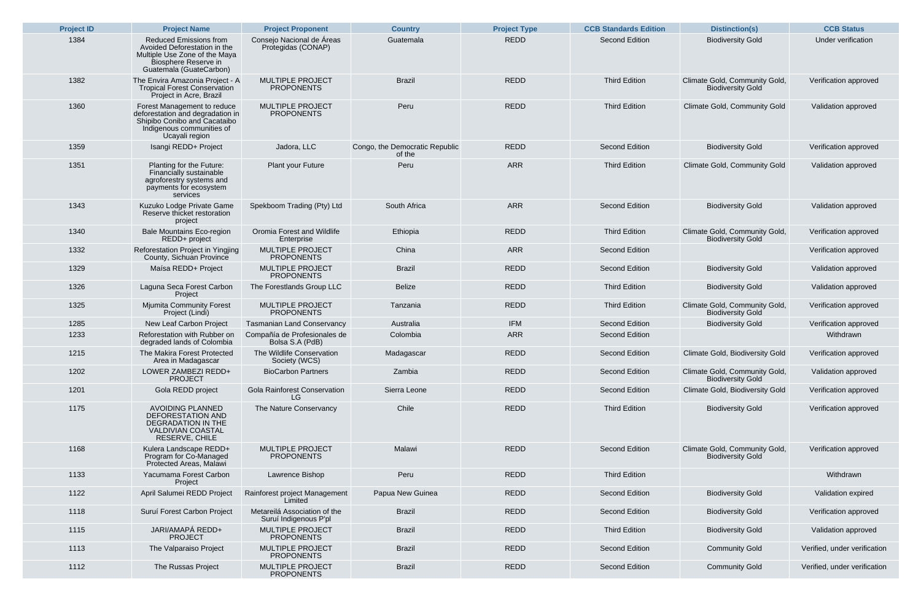| <b>Project ID</b> | <b>Project Name</b>                                                                                                                               | <b>Project Proponent</b>                              | <b>Country</b>                           | <b>Project Type</b> | <b>CCB Standards Edition</b> | <b>Distinction(s)</b>                                     | <b>CCB Status</b>          |
|-------------------|---------------------------------------------------------------------------------------------------------------------------------------------------|-------------------------------------------------------|------------------------------------------|---------------------|------------------------------|-----------------------------------------------------------|----------------------------|
| 1384              | <b>Reduced Emissions from</b><br>Avoided Deforestation in the<br>Multiple Use Zone of the Maya<br>Biosphere Reserve in<br>Guatemala (GuateCarbon) | Consejo Nacional de Áreas<br>Protegidas (CONAP)       | Guatemala                                | <b>REDD</b>         | <b>Second Edition</b>        | <b>Biodiversity Gold</b>                                  | Under verification         |
| 1382              | The Envira Amazonia Project - A<br><b>Tropical Forest Conservation</b><br>Project in Acre, Brazil                                                 | <b>MULTIPLE PROJECT</b><br><b>PROPONENTS</b>          | <b>Brazil</b>                            | <b>REDD</b>         | <b>Third Edition</b>         | Climate Gold, Community Gold,<br><b>Biodiversity Gold</b> | Verification approved      |
| 1360              | Forest Management to reduce<br>deforestation and degradation in<br>Shipibo Conibo and Cacataibo<br>Indigenous communities of<br>Ucayali region    | <b>MULTIPLE PROJECT</b><br><b>PROPONENTS</b>          | Peru                                     | <b>REDD</b>         | <b>Third Edition</b>         | <b>Climate Gold, Community Gold</b>                       | Validation approved        |
| 1359              | Isangi REDD+ Project                                                                                                                              | Jadora, LLC                                           | Congo, the Democratic Republic<br>of the | <b>REDD</b>         | <b>Second Edition</b>        | <b>Biodiversity Gold</b>                                  | Verification approved      |
| 1351              | Planting for the Future:<br><b>Financially sustainable</b><br>agroforestry systems and<br>payments for ecosystem<br>services                      | <b>Plant your Future</b>                              | Peru                                     | <b>ARR</b>          | <b>Third Edition</b>         | <b>Climate Gold, Community Gold</b>                       | Validation approved        |
| 1343              | Kuzuko Lodge Private Game<br>Reserve thicket restoration<br>project                                                                               | Spekboom Trading (Pty) Ltd                            | South Africa                             | <b>ARR</b>          | <b>Second Edition</b>        | <b>Biodiversity Gold</b>                                  | Validation approved        |
| 1340              | <b>Bale Mountains Eco-region</b><br>REDD+ project                                                                                                 | Oromia Forest and Wildlife<br>Enterprise              | Ethiopia                                 | <b>REDD</b>         | <b>Third Edition</b>         | Climate Gold, Community Gold,<br><b>Biodiversity Gold</b> | Verification approved      |
| 1332              | Reforestation Project in Yingjing<br>County, Sichuan Province                                                                                     | <b>MULTIPLE PROJECT</b><br><b>PROPONENTS</b>          | China                                    | <b>ARR</b>          | <b>Second Edition</b>        |                                                           | Verification approved      |
| 1329              | Maísa REDD+ Project                                                                                                                               | <b>MULTIPLE PROJECT</b><br><b>PROPONENTS</b>          | <b>Brazil</b>                            | <b>REDD</b>         | <b>Second Edition</b>        | <b>Biodiversity Gold</b>                                  | Validation approved        |
| 1326              | Laguna Seca Forest Carbon<br>Project                                                                                                              | The Forestlands Group LLC                             | <b>Belize</b>                            | <b>REDD</b>         | <b>Third Edition</b>         | <b>Biodiversity Gold</b>                                  | Validation approved        |
| 1325              | <b>Mjumita Community Forest</b><br>Project (Lindi)                                                                                                | <b>MULTIPLE PROJECT</b><br><b>PROPONENTS</b>          | Tanzania                                 | <b>REDD</b>         | <b>Third Edition</b>         | Climate Gold, Community Gold,<br><b>Biodiversity Gold</b> | Verification approved      |
| 1285              | <b>New Leaf Carbon Project</b>                                                                                                                    | <b>Tasmanian Land Conservancy</b>                     | Australia                                | <b>IFM</b>          | <b>Second Edition</b>        | <b>Biodiversity Gold</b>                                  | Verification approved      |
| 1233              | Reforestation with Rubber on<br>degraded lands of Colombia                                                                                        | Compañía de Profesionales de<br>Bolsa S.A (PdB)       | Colombia                                 | <b>ARR</b>          | <b>Second Edition</b>        |                                                           | Withdrawn                  |
| 1215              | The Makira Forest Protected<br>Area in Madagascar                                                                                                 | The Wildlife Conservation<br>Society (WCS)            | Madagascar                               | <b>REDD</b>         | <b>Second Edition</b>        | <b>Climate Gold, Biodiversity Gold</b>                    | Verification approved      |
| 1202              | LOWER ZAMBEZI REDD+<br><b>PROJECT</b>                                                                                                             | <b>BioCarbon Partners</b>                             | Zambia                                   | <b>REDD</b>         | <b>Second Edition</b>        | Climate Gold, Community Gold,<br><b>Biodiversity Gold</b> | Validation approved        |
| 1201              | Gola REDD project                                                                                                                                 | <b>Gola Rainforest Conservation</b><br>LG             | Sierra Leone                             | <b>REDD</b>         | <b>Second Edition</b>        | <b>Climate Gold, Biodiversity Gold</b>                    | Verification approved      |
| 1175              | <b>AVOIDING PLANNED</b><br>DEFORESTATION AND<br><b>DEGRADATION IN THE</b><br><b>VALDIVIAN COASTAL</b><br>RESERVE, CHILE                           | The Nature Conservancy                                | Chile                                    | <b>REDD</b>         | <b>Third Edition</b>         | <b>Biodiversity Gold</b>                                  | Verification approved      |
| 1168              | Kulera Landscape REDD+<br>Program for Co-Managed<br>Protected Areas, Malawi                                                                       | <b>MULTIPLE PROJECT</b><br><b>PROPONENTS</b>          | Malawi                                   | <b>REDD</b>         | <b>Second Edition</b>        | Climate Gold, Community Gold,<br><b>Biodiversity Gold</b> | Verification approved      |
| 1133              | Yacumama Forest Carbon<br>Project                                                                                                                 | Lawrence Bishop                                       | Peru                                     | <b>REDD</b>         | <b>Third Edition</b>         |                                                           | Withdrawn                  |
| 1122              | April Salumei REDD Project                                                                                                                        | Rainforest project Management<br>Limited              | Papua New Guinea                         | <b>REDD</b>         | <b>Second Edition</b>        | <b>Biodiversity Gold</b>                                  | Validation expired         |
| 1118              | Suruí Forest Carbon Project                                                                                                                       | Metareilá Association of the<br>Suruí Indigenous P'pl | <b>Brazil</b>                            | <b>REDD</b>         | <b>Second Edition</b>        | <b>Biodiversity Gold</b>                                  | Verification approved      |
| 1115              | JARI/AMAPÁ REDD+<br><b>PROJECT</b>                                                                                                                | <b>MULTIPLE PROJECT</b><br><b>PROPONENTS</b>          | <b>Brazil</b>                            | <b>REDD</b>         | <b>Third Edition</b>         | <b>Biodiversity Gold</b>                                  | Validation approved        |
| 1113              | The Valparaiso Project                                                                                                                            | <b>MULTIPLE PROJECT</b><br><b>PROPONENTS</b>          | <b>Brazil</b>                            | <b>REDD</b>         | <b>Second Edition</b>        | <b>Community Gold</b>                                     | Verified, under verificati |
| 1112              | The Russas Project                                                                                                                                | <b>MULTIPLE PROJECT</b><br><b>PROPONENTS</b>          | <b>Brazil</b>                            | <b>REDD</b>         | <b>Second Edition</b>        | <b>Community Gold</b>                                     | Verified, under verificati |

| <b>Project Proponent</b>                              | <b>Country</b>                           | <b>Project Type</b> | <b>CCB Standards Edition</b> | <b>Distinction(s)</b>                                     | <b>CCB Status</b>            |
|-------------------------------------------------------|------------------------------------------|---------------------|------------------------------|-----------------------------------------------------------|------------------------------|
| Consejo Nacional de Áreas<br>Protegidas (CONAP)       | Guatemala                                | <b>REDD</b>         | <b>Second Edition</b>        | <b>Biodiversity Gold</b>                                  | <b>Under verification</b>    |
| <b>MULTIPLE PROJECT</b><br><b>PROPONENTS</b>          | <b>Brazil</b>                            | <b>REDD</b>         | <b>Third Edition</b>         | Climate Gold, Community Gold,<br><b>Biodiversity Gold</b> | Verification approved        |
| <b>MULTIPLE PROJECT</b><br><b>PROPONENTS</b>          | Peru                                     | <b>REDD</b>         | <b>Third Edition</b>         | <b>Climate Gold, Community Gold</b>                       | Validation approved          |
| Jadora, LLC                                           | Congo, the Democratic Republic<br>of the | <b>REDD</b>         | <b>Second Edition</b>        | <b>Biodiversity Gold</b>                                  | Verification approved        |
| <b>Plant your Future</b>                              | Peru                                     | <b>ARR</b>          | <b>Third Edition</b>         | <b>Climate Gold, Community Gold</b>                       | Validation approved          |
| Spekboom Trading (Pty) Ltd                            | South Africa                             | <b>ARR</b>          | <b>Second Edition</b>        | <b>Biodiversity Gold</b>                                  | Validation approved          |
| Oromia Forest and Wildlife<br>Enterprise              | Ethiopia                                 | <b>REDD</b>         | <b>Third Edition</b>         | Climate Gold, Community Gold,<br><b>Biodiversity Gold</b> | Verification approved        |
| <b>MULTIPLE PROJECT</b><br><b>PROPONENTS</b>          | China                                    | <b>ARR</b>          | <b>Second Edition</b>        |                                                           | Verification approved        |
| <b>MULTIPLE PROJECT</b><br><b>PROPONENTS</b>          | <b>Brazil</b>                            | <b>REDD</b>         | <b>Second Edition</b>        | <b>Biodiversity Gold</b>                                  | Validation approved          |
| The Forestlands Group LLC                             | <b>Belize</b>                            | <b>REDD</b>         | <b>Third Edition</b>         | <b>Biodiversity Gold</b>                                  | Validation approved          |
| <b>MULTIPLE PROJECT</b><br><b>PROPONENTS</b>          | Tanzania                                 | <b>REDD</b>         | <b>Third Edition</b>         | Climate Gold, Community Gold,<br><b>Biodiversity Gold</b> | Verification approved        |
| asmanian Land Conservancy                             | Australia                                | <b>IFM</b>          | <b>Second Edition</b>        | <b>Biodiversity Gold</b>                                  | Verification approved        |
| ompañía de Profesionales de<br>Bolsa S.A (PdB)        | Colombia                                 | <b>ARR</b>          | <b>Second Edition</b>        |                                                           | Withdrawn                    |
| The Wildlife Conservation<br>Society (WCS)            | Madagascar                               | <b>REDD</b>         | <b>Second Edition</b>        | <b>Climate Gold, Biodiversity Gold</b>                    | Verification approved        |
| <b>BioCarbon Partners</b>                             | Zambia                                   | <b>REDD</b>         | <b>Second Edition</b>        | Climate Gold, Community Gold,<br><b>Biodiversity Gold</b> | Validation approved          |
| <b>Gola Rainforest Conservation</b><br>LG             | Sierra Leone                             | <b>REDD</b>         | <b>Second Edition</b>        | <b>Climate Gold, Biodiversity Gold</b>                    | Verification approved        |
| The Nature Conservancy                                | Chile                                    | <b>REDD</b>         | <b>Third Edition</b>         | <b>Biodiversity Gold</b>                                  | Verification approved        |
| <b>MULTIPLE PROJECT</b><br><b>PROPONENTS</b>          | Malawi                                   | <b>REDD</b>         | <b>Second Edition</b>        | Climate Gold, Community Gold,<br><b>Biodiversity Gold</b> | Verification approved        |
| Lawrence Bishop                                       | Peru                                     | <b>REDD</b>         | <b>Third Edition</b>         |                                                           | Withdrawn                    |
| ainforest project Management<br>Limited               | Papua New Guinea                         | <b>REDD</b>         | <b>Second Edition</b>        | <b>Biodiversity Gold</b>                                  | Validation expired           |
| Metareilá Association of the<br>Suruí Indigenous P'pl | <b>Brazil</b>                            | <b>REDD</b>         | <b>Second Edition</b>        | <b>Biodiversity Gold</b>                                  | Verification approved        |
| <b>MULTIPLE PROJECT</b><br><b>PROPONENTS</b>          | <b>Brazil</b>                            | <b>REDD</b>         | <b>Third Edition</b>         | <b>Biodiversity Gold</b>                                  | Validation approved          |
| <b>MULTIPLE PROJECT</b><br><b>PROPONENTS</b>          | <b>Brazil</b>                            | <b>REDD</b>         | <b>Second Edition</b>        | <b>Community Gold</b>                                     | Verified, under verification |
| <b>MULTIPLE PROJECT</b><br><b>PROPONENTS</b>          | <b>Brazil</b>                            | <b>REDD</b>         | <b>Second Edition</b>        | <b>Community Gold</b>                                     | Verified, under verification |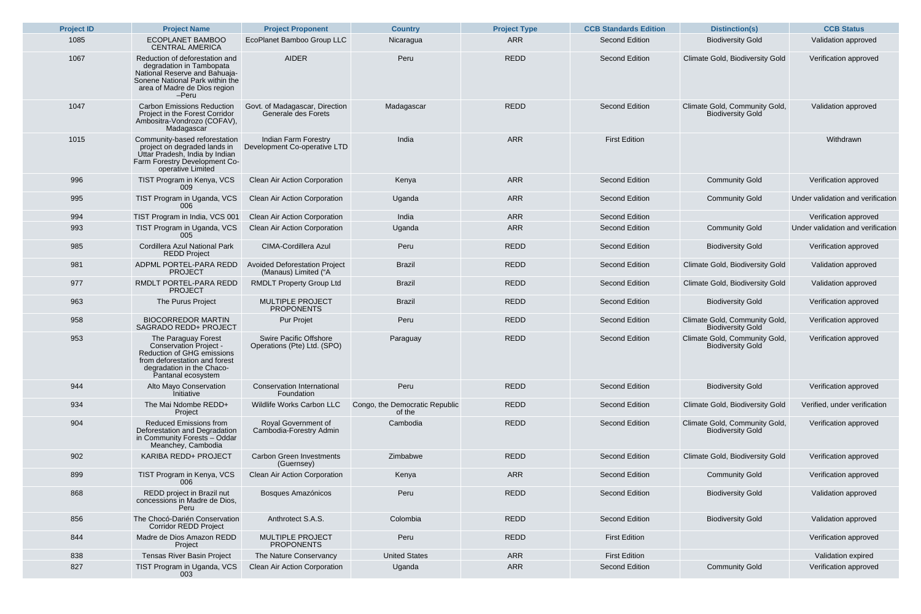| <b>Project ID</b> | <b>Project Name</b>                                                                                                                                                           | <b>Project Proponent</b>                                     | <b>Country</b>                           | <b>Project Type</b> | <b>CCB Standards Edition</b> | <b>Distinction(s)</b>                                     | <b>CCB Status</b>            |
|-------------------|-------------------------------------------------------------------------------------------------------------------------------------------------------------------------------|--------------------------------------------------------------|------------------------------------------|---------------------|------------------------------|-----------------------------------------------------------|------------------------------|
| 1085              | <b>ECOPLANET BAMBOO</b><br><b>CENTRAL AMERICA</b>                                                                                                                             | EcoPlanet Bamboo Group LLC                                   | Nicaragua                                | <b>ARR</b>          | <b>Second Edition</b>        | <b>Biodiversity Gold</b>                                  | Validation approved          |
| 1067              | Reduction of deforestation and<br>degradation in Tambopata<br>National Reserve and Bahuaja-<br>Sonene National Park within the<br>area of Madre de Dios region<br>$-Peru$     | <b>AIDER</b>                                                 | Peru                                     | <b>REDD</b>         | <b>Second Edition</b>        | <b>Climate Gold, Biodiversity Gold</b>                    | Verification approved        |
| 1047              | <b>Carbon Emissions Reduction</b><br>Project in the Forest Corridor<br>Ambositra-Vondrozo (COFAV),<br>Madagascar                                                              | Govt. of Madagascar, Direction<br>Generale des Forets        | Madagascar                               | <b>REDD</b>         | <b>Second Edition</b>        | Climate Gold, Community Gold,<br><b>Biodiversity Gold</b> | Validation approved          |
| 1015              | Community-based reforestation<br>project on degraded lands in<br>Uttar Pradesh, India by Indian<br>Farm Forestry Development Co-<br>operative Limited                         | Indian Farm Forestry<br>Development Co-operative LTD         | India                                    | <b>ARR</b>          | <b>First Edition</b>         |                                                           | Withdrawn                    |
| 996               | TIST Program in Kenya, VCS<br>009                                                                                                                                             | <b>Clean Air Action Corporation</b>                          | Kenya                                    | <b>ARR</b>          | <b>Second Edition</b>        | <b>Community Gold</b>                                     | Verification approved        |
| 995               | TIST Program in Uganda, VCS<br>006                                                                                                                                            | <b>Clean Air Action Corporation</b>                          | Uganda                                   | <b>ARR</b>          | <b>Second Edition</b>        | <b>Community Gold</b>                                     | Under validation and verific |
| 994               | TIST Program in India, VCS 001                                                                                                                                                | <b>Clean Air Action Corporation</b>                          | India                                    | <b>ARR</b>          | <b>Second Edition</b>        |                                                           | Verification approved        |
| 993               | TIST Program in Uganda, VCS<br>005                                                                                                                                            | <b>Clean Air Action Corporation</b>                          | Uganda                                   | <b>ARR</b>          | <b>Second Edition</b>        | <b>Community Gold</b>                                     | Under validation and verific |
| 985               | <b>Cordillera Azul National Park</b><br><b>REDD Project</b>                                                                                                                   | <b>CIMA-Cordillera Azul</b>                                  | Peru                                     | <b>REDD</b>         | <b>Second Edition</b>        | <b>Biodiversity Gold</b>                                  | Verification approved        |
| 981               | ADPML PORTEL-PARA REDD<br><b>PROJECT</b>                                                                                                                                      | <b>Avoided Deforestation Project</b><br>(Manaus) Limited ("A | <b>Brazil</b>                            | <b>REDD</b>         | <b>Second Edition</b>        | <b>Climate Gold, Biodiversity Gold</b>                    | Validation approved          |
| 977               | RMDLT PORTEL-PARA REDD<br><b>PROJECT</b>                                                                                                                                      | <b>RMDLT Property Group Ltd</b>                              | <b>Brazil</b>                            | <b>REDD</b>         | <b>Second Edition</b>        | <b>Climate Gold, Biodiversity Gold</b>                    | Validation approved          |
| 963               | The Purus Project                                                                                                                                                             | MULTIPLE PROJECT<br><b>PROPONENTS</b>                        | <b>Brazil</b>                            | <b>REDD</b>         | <b>Second Edition</b>        | <b>Biodiversity Gold</b>                                  | Verification approved        |
| 958               | <b>BIOCORREDOR MARTIN</b><br><b>SAGRADO REDD+ PROJECT</b>                                                                                                                     | <b>Pur Projet</b>                                            | Peru                                     | REDD                | <b>Second Edition</b>        | Climate Gold, Community Gold,<br><b>Biodiversity Gold</b> | Verification approved        |
| 953               | The Paraguay Forest<br><b>Conservation Project -</b><br><b>Reduction of GHG emissions</b><br>from deforestation and forest<br>degradation in the Chaco-<br>Pantanal ecosystem | <b>Swire Pacific Offshore</b><br>Operations (Pte) Ltd. (SPO) | Paraguay                                 | <b>REDD</b>         | <b>Second Edition</b>        | Climate Gold, Community Gold,<br><b>Biodiversity Gold</b> | Verification approved        |
| 944               | <b>Alto Mayo Conservation</b><br>Initiative                                                                                                                                   | <b>Conservation International</b><br>Foundation              | Peru                                     | <b>REDD</b>         | <b>Second Edition</b>        | <b>Biodiversity Gold</b>                                  | Verification approved        |
| 934               | The Mai Ndombe REDD+<br>Project                                                                                                                                               | <b>Wildlife Works Carbon LLC</b>                             | Congo, the Democratic Republic<br>of the | REDD                | <b>Second Edition</b>        | <b>Climate Gold, Biodiversity Gold</b>                    | Verified, under verificati   |
| 904               | <b>Reduced Emissions from</b><br>Deforestation and Degradation<br>in Community Forests - Oddar<br>Meanchey, Cambodia                                                          | <b>Royal Government of</b><br>Cambodia-Forestry Admin        | Cambodia                                 | <b>REDD</b>         | <b>Second Edition</b>        | Climate Gold, Community Gold,<br><b>Biodiversity Gold</b> | Verification approved        |
| 902               | <b>KARIBA REDD+ PROJECT</b>                                                                                                                                                   | <b>Carbon Green Investments</b><br>(Guernsey)                | Zimbabwe                                 | <b>REDD</b>         | <b>Second Edition</b>        | <b>Climate Gold, Biodiversity Gold</b>                    | Verification approved        |
| 899               | TIST Program in Kenya, VCS<br>006                                                                                                                                             | <b>Clean Air Action Corporation</b>                          | Kenya                                    | <b>ARR</b>          | <b>Second Edition</b>        | <b>Community Gold</b>                                     | Verification approved        |
| 868               | REDD project in Brazil nut<br>concessions in Madre de Dios,<br>Peru                                                                                                           | <b>Bosques Amazónicos</b>                                    | Peru                                     | <b>REDD</b>         | <b>Second Edition</b>        | <b>Biodiversity Gold</b>                                  | Validation approved          |
| 856               | The Chocó-Darién Conservation<br><b>Corridor REDD Project</b>                                                                                                                 | Anthrotect S.A.S.                                            | Colombia                                 | REDD                | <b>Second Edition</b>        | <b>Biodiversity Gold</b>                                  | Validation approved          |
| 844               | Madre de Dios Amazon REDD<br>Project                                                                                                                                          | <b>MULTIPLE PROJECT</b><br><b>PROPONENTS</b>                 | Peru                                     | REDD                | <b>First Edition</b>         |                                                           | Verification approved        |
| 838               | <b>Tensas River Basin Project</b>                                                                                                                                             | The Nature Conservancy                                       | <b>United States</b>                     | <b>ARR</b>          | <b>First Edition</b>         |                                                           | Validation expired           |
| 827               | TIST Program in Uganda, VCS<br>003                                                                                                                                            | <b>Clean Air Action Corporation</b>                          | Uganda                                   | <b>ARR</b>          | <b>Second Edition</b>        | <b>Community Gold</b>                                     | Verification approved        |

| <b>Project Proponent</b>                                     | <b>Country</b>                           | <b>Project Type</b> | <b>CCB Standards Edition</b> | <b>Distinction(s)</b>                                     | <b>CCB Status</b>                 |
|--------------------------------------------------------------|------------------------------------------|---------------------|------------------------------|-----------------------------------------------------------|-----------------------------------|
| coPlanet Bamboo Group LLC                                    | Nicaragua                                | <b>ARR</b>          | <b>Second Edition</b>        | <b>Biodiversity Gold</b>                                  | Validation approved               |
| <b>AIDER</b>                                                 | Peru                                     | <b>REDD</b>         | <b>Second Edition</b>        | <b>Climate Gold, Biodiversity Gold</b>                    | Verification approved             |
| Fovt. of Madagascar, Direction<br>Generale des Forets        | Madagascar                               | <b>REDD</b>         | <b>Second Edition</b>        | Climate Gold, Community Gold,<br><b>Biodiversity Gold</b> | Validation approved               |
| Indian Farm Forestry<br>evelopment Co-operative LTD          | India                                    | <b>ARR</b>          | <b>First Edition</b>         |                                                           | Withdrawn                         |
| <b>Clean Air Action Corporation</b>                          | Kenya                                    | <b>ARR</b>          | <b>Second Edition</b>        | <b>Community Gold</b>                                     | Verification approved             |
| <b>Clean Air Action Corporation</b>                          | Uganda                                   | <b>ARR</b>          | <b>Second Edition</b>        | <b>Community Gold</b>                                     | Under validation and verification |
| <b>Clean Air Action Corporation</b>                          | India                                    | <b>ARR</b>          | <b>Second Edition</b>        |                                                           | Verification approved             |
| <b>Clean Air Action Corporation</b>                          | Uganda                                   | <b>ARR</b>          | <b>Second Edition</b>        | <b>Community Gold</b>                                     | Under validation and verification |
| <b>CIMA-Cordillera Azul</b>                                  | Peru                                     | <b>REDD</b>         | <b>Second Edition</b>        | <b>Biodiversity Gold</b>                                  | Verification approved             |
| <b>Avoided Deforestation Project</b><br>(Manaus) Limited ("A | <b>Brazil</b>                            | <b>REDD</b>         | <b>Second Edition</b>        | <b>Climate Gold, Biodiversity Gold</b>                    | Validation approved               |
| <b>RMDLT Property Group Ltd</b>                              | <b>Brazil</b>                            | <b>REDD</b>         | <b>Second Edition</b>        | <b>Climate Gold, Biodiversity Gold</b>                    | Validation approved               |
| <b>MULTIPLE PROJECT</b><br><b>PROPONENTS</b>                 | <b>Brazil</b>                            | <b>REDD</b>         | <b>Second Edition</b>        | <b>Biodiversity Gold</b>                                  | Verification approved             |
| Pur Projet                                                   | Peru                                     | <b>REDD</b>         | <b>Second Edition</b>        | Climate Gold, Community Gold,<br><b>Biodiversity Gold</b> | Verification approved             |
| <b>Swire Pacific Offshore</b><br>Operations (Pte) Ltd. (SPO) | Paraguay                                 | <b>REDD</b>         | <b>Second Edition</b>        | Climate Gold, Community Gold,<br><b>Biodiversity Gold</b> | Verification approved             |
| <b>Conservation International</b><br>Foundation              | Peru                                     | <b>REDD</b>         | <b>Second Edition</b>        | <b>Biodiversity Gold</b>                                  | Verification approved             |
| <b>Wildlife Works Carbon LLC</b>                             | Congo, the Democratic Republic<br>of the | <b>REDD</b>         | <b>Second Edition</b>        | <b>Climate Gold, Biodiversity Gold</b>                    | Verified, under verification      |
| Royal Government of<br>Cambodia-Forestry Admin               | Cambodia                                 | <b>REDD</b>         | <b>Second Edition</b>        | Climate Gold, Community Gold,<br><b>Biodiversity Gold</b> | Verification approved             |
| <b>Carbon Green Investments</b><br>(Guernsey)                | Zimbabwe                                 | <b>REDD</b>         | <b>Second Edition</b>        | <b>Climate Gold, Biodiversity Gold</b>                    | Verification approved             |
| <b>Clean Air Action Corporation</b>                          | Kenya                                    | <b>ARR</b>          | <b>Second Edition</b>        | <b>Community Gold</b>                                     | Verification approved             |
| <b>Bosques Amazónicos</b>                                    | Peru                                     | <b>REDD</b>         | <b>Second Edition</b>        | <b>Biodiversity Gold</b>                                  | Validation approved               |
| Anthrotect S.A.S.                                            | Colombia                                 | <b>REDD</b>         | <b>Second Edition</b>        | <b>Biodiversity Gold</b>                                  | Validation approved               |
| <b>MULTIPLE PROJECT</b><br><b>PROPONENTS</b>                 | Peru                                     | <b>REDD</b>         | <b>First Edition</b>         |                                                           | Verification approved             |
| The Nature Conservancy                                       | <b>United States</b>                     | <b>ARR</b>          | <b>First Edition</b>         |                                                           | Validation expired                |
| <b>Clean Air Action Corporation</b>                          | Uganda                                   | <b>ARR</b>          | <b>Second Edition</b>        | <b>Community Gold</b>                                     | Verification approved             |